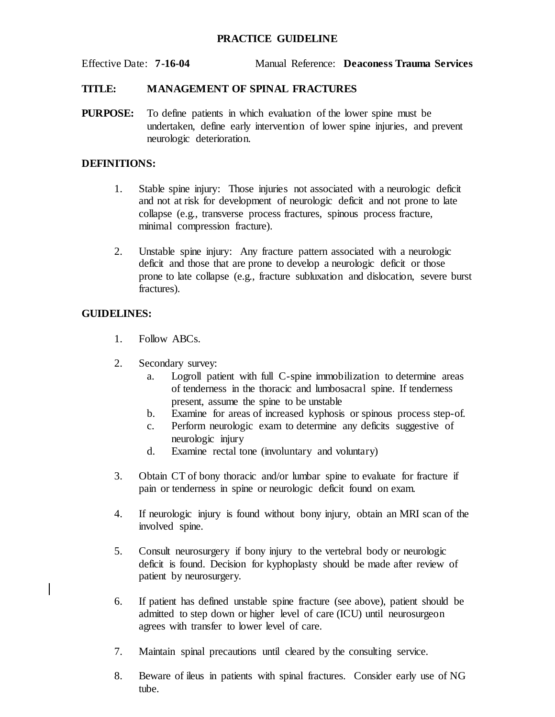### **PRACTICE GUIDELINE**

Effective Date: **7-16-04** Manual Reference: **Deaconess Trauma Services**

#### **TITLE: MANAGEMENT OF SPINAL FRACTURES**

**PURPOSE:** To define patients in which evaluation of the lower spine must be undertaken, define early intervention of lower spine injuries, and prevent neurologic deterioration.

#### **DEFINITIONS:**

- 1. Stable spine injury: Those injuries not associated with a neurologic deficit and not at risk for development of neurologic deficit and not prone to late collapse (e.g., transverse process fractures, spinous process fracture, minimal compression fracture).
- 2. Unstable spine injury: Any fracture pattern associated with a neurologic deficit and those that are prone to develop a neurologic deficit or those prone to late collapse (e.g., fracture subluxation and dislocation, severe burst fractures).

# **GUIDELINES:**

- 1. Follow ABCs.
- 2. Secondary survey:
	- a. Logroll patient with full C-spine immobilization to determine areas of tenderness in the thoracic and lumbosacral spine. If tenderness present, assume the spine to be unstable
	- b. Examine for areas of increased kyphosis or spinous process step-of.
	- c. Perform neurologic exam to determine any deficits suggestive of neurologic injury
	- d. Examine rectal tone (involuntary and voluntary)
- 3. Obtain CT of bony thoracic and/or lumbar spine to evaluate for fracture if pain or tenderness in spine or neurologic deficit found on exam.
- 4. If neurologic injury is found without bony injury, obtain an MRI scan of the involved spine.
- 5. Consult neurosurgery if bony injury to the vertebral body or neurologic deficit is found. Decision for kyphoplasty should be made after review of patient by neurosurgery.
- 6. If patient has defined unstable spine fracture (see above), patient should be admitted to step down or higher level of care (ICU) until neurosurgeon agrees with transfer to lower level of care.
- 7. Maintain spinal precautions until cleared by the consulting service.
- 8. Beware of ileus in patients with spinal fractures. Consider early use of NG tube.